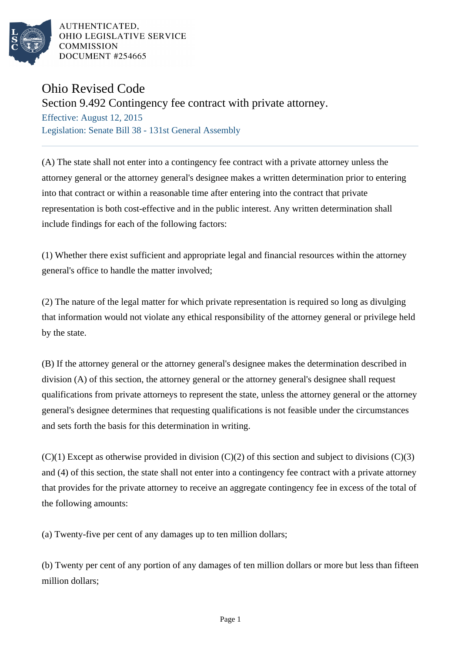

AUTHENTICATED. OHIO LEGISLATIVE SERVICE **COMMISSION** DOCUMENT #254665

## Ohio Revised Code

Section 9.492 Contingency fee contract with private attorney.

Effective: August 12, 2015 Legislation: Senate Bill 38 - 131st General Assembly

(A) The state shall not enter into a contingency fee contract with a private attorney unless the attorney general or the attorney general's designee makes a written determination prior to entering into that contract or within a reasonable time after entering into the contract that private representation is both cost-effective and in the public interest. Any written determination shall include findings for each of the following factors:

(1) Whether there exist sufficient and appropriate legal and financial resources within the attorney general's office to handle the matter involved;

(2) The nature of the legal matter for which private representation is required so long as divulging that information would not violate any ethical responsibility of the attorney general or privilege held by the state.

(B) If the attorney general or the attorney general's designee makes the determination described in division (A) of this section, the attorney general or the attorney general's designee shall request qualifications from private attorneys to represent the state, unless the attorney general or the attorney general's designee determines that requesting qualifications is not feasible under the circumstances and sets forth the basis for this determination in writing.

 $(C)(1)$  Except as otherwise provided in division  $(C)(2)$  of this section and subject to divisions  $(C)(3)$ and (4) of this section, the state shall not enter into a contingency fee contract with a private attorney that provides for the private attorney to receive an aggregate contingency fee in excess of the total of the following amounts:

(a) Twenty-five per cent of any damages up to ten million dollars;

(b) Twenty per cent of any portion of any damages of ten million dollars or more but less than fifteen million dollars;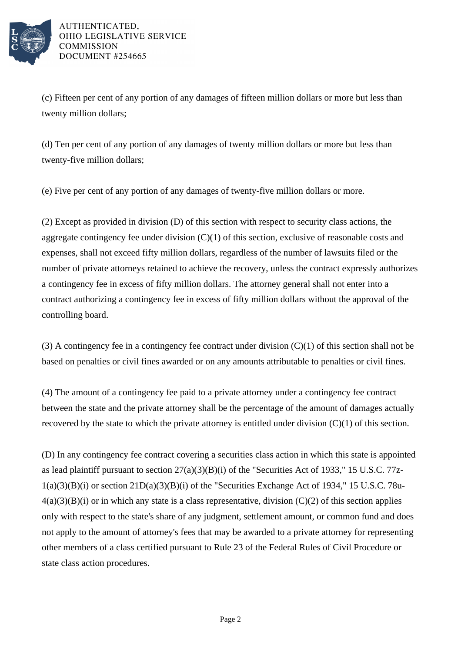

AUTHENTICATED. OHIO LEGISLATIVE SERVICE **COMMISSION** DOCUMENT #254665

(c) Fifteen per cent of any portion of any damages of fifteen million dollars or more but less than twenty million dollars;

(d) Ten per cent of any portion of any damages of twenty million dollars or more but less than twenty-five million dollars;

(e) Five per cent of any portion of any damages of twenty-five million dollars or more.

(2) Except as provided in division (D) of this section with respect to security class actions, the aggregate contingency fee under division (C)(1) of this section, exclusive of reasonable costs and expenses, shall not exceed fifty million dollars, regardless of the number of lawsuits filed or the number of private attorneys retained to achieve the recovery, unless the contract expressly authorizes a contingency fee in excess of fifty million dollars. The attorney general shall not enter into a contract authorizing a contingency fee in excess of fifty million dollars without the approval of the controlling board.

(3) A contingency fee in a contingency fee contract under division  $(C)(1)$  of this section shall not be based on penalties or civil fines awarded or on any amounts attributable to penalties or civil fines.

(4) The amount of a contingency fee paid to a private attorney under a contingency fee contract between the state and the private attorney shall be the percentage of the amount of damages actually recovered by the state to which the private attorney is entitled under division  $(C)(1)$  of this section.

(D) In any contingency fee contract covering a securities class action in which this state is appointed as lead plaintiff pursuant to section 27(a)(3)(B)(i) of the "Securities Act of 1933," 15 U.S.C. 77z- $1(a)(3)(B)(i)$  or section  $21D(a)(3)(B)(i)$  of the "Securities Exchange Act of 1934," 15 U.S.C. 78u- $4(a)(3)(B)(i)$  or in which any state is a class representative, division  $(C)(2)$  of this section applies only with respect to the state's share of any judgment, settlement amount, or common fund and does not apply to the amount of attorney's fees that may be awarded to a private attorney for representing other members of a class certified pursuant to Rule 23 of the Federal Rules of Civil Procedure or state class action procedures.